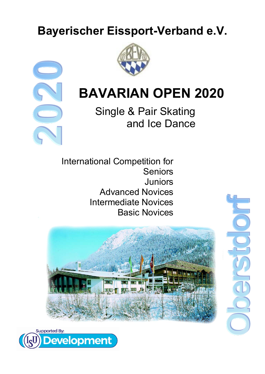# **Bayerischer Eissport-Verband e.V.**





# **BAVARIAN OPEN 2020**

Single & Pair Skating and Ice Dance

International Competition for Seniors **Juniors** Advanced Novices Intermediate Novices Basic Novices



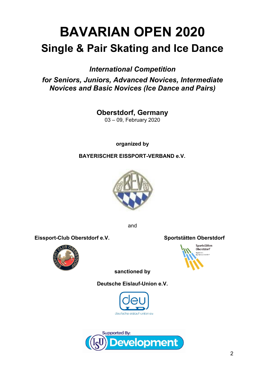# **BAVARIAN OPEN 2020 Single & Pair Skating and Ice Dance**

*International Competition* 

*for Seniors, Juniors, Advanced Novices, Intermediate Novices and Basic Novices (Ice Dance and Pairs)*

> **Oberstdorf, Germany** 03 – 09, February 2020

> > **organized by**

**BAYERISCHER EISSPORT-VERBAND e.V.**



and

Eissport-Club Oberstdorf e.V. Sportstätten Oberstdorf





**sanctioned by** 

**Deutsche Eislauf-Union e.V.**





2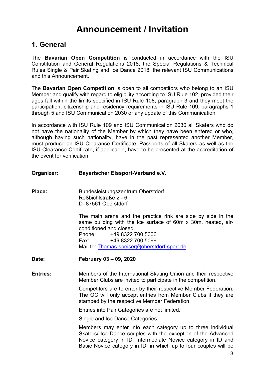# **Announcement / Invitation**

### **1. General**

The **Bavarian Open Competition** is conducted in accordance with the ISU Constitution and General Regulations 2018, the Special Regulations & Technical Rules Single & Pair Skating and Ice Dance 2018, the relevant ISU Communications and this Announcement.

The **Bavarian Open Competition** is open to all competitors who belong to an ISU Member and qualify with regard to eligibility according to ISU Rule 102, provided their ages fall within the limits specified in ISU Rule 108, paragraph 3 and they meet the participation, citizenship and residency requirements in ISU Rule 109, paragraphs 1 through 5 and ISU Communication 2030 or any update of this Communication.

In accordance with ISU Rule 109 and ISU Communication 2030 all Skaters who do not have the nationality of the Member by which they have been entered or who, although having such nationality, have in the past represented another Member, must produce an ISU Clearance Certificate. Passports of all Skaters as well as the ISU Clearance Certificate, if applicable, have to be presented at the accreditation of the event for verification.

#### **Organizer: Bayerischer Eissport-Verband e.V.**

Place: Bundesleistungszentrum Oberstdorf Roßbichlstraße 2 - 6 D- 87561 Oberstdorf

> The main arena and the practice rink are side by side in the same building with the ice surface of 60m x 30m, heated, airconditioned and closed. Phone: +49 8322 700 5006 Fax: +49 8322 700 5099 Mail to: [Thomas-speiser@oberstdorf-sport.de](file:///E:%5C..%5C..%5C..%5C..%5CUsers%5CPeter%20Krick%5CAppData%5CLocal%5CMicrosoft%5CWindows%5CPeter%20Krick%5CAppData%5CUsers%5CJulia%20Degenhardt%5CAppData%5CAppData%5CLocal%5CUsers%5CPeter%20Krick%5CAppData%5CLocal%5CAppData%5CUsers%5CJulia%20Degenhardt%5CAppData%5CLocal%5CMicrosoft%5CWindows%5CUsers%5CPeter%20Krick%5CAppData%5CAppData%5CLocal%5CMicrosoft%5CWindows%5CTemporary%20Internet%20Files%5CContent.IE5%5CO6YYXZ27%5CThomas-speiser@oberstdorf-sport.de)

- **Date: February 03 – 09, 2020**
- **Entries:** Members of the International Skating Union and their respective Member Clubs are invited to participate in the competition.

Competitors are to enter by their respective Member Federation. The OC will only accept entries from Member Clubs if they are stamped by the respective Member Federation.

Entries into Pair Categories are not limited.

Single and Ice Dance Categories:

Members may enter into each category up to three individual Skaters/ Ice Dance couples with the exception of the Advanced Novice category in ID, Intermediate Novice category in ID and Basic Novice category in ID, in which up to four couples will be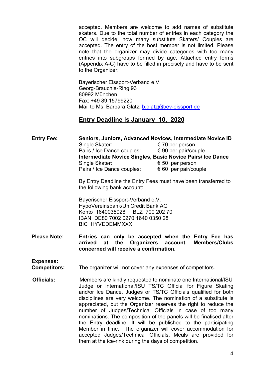accepted. Members are welcome to add names of substitute skaters. Due to the total number of entries in each category the OC will decide, how many substitute Skaters/ Couples are accepted. The entry of the host member is not limited. Please note that the organizer may divide categories with too many entries into subgroups formed by age. Attached entry forms (Appendix A-C) have to be filled in precisely and have to be sent to the Organizer:

Bayerischer Eissport-Verband e.V. Georg-Brauchle-Ring 93 80992 München Fax: +49 89 15799220 Mail to Ms. Barbara Glatz: [b.glatz@bev-eissport.de](mailto:b.glatz@bev-eissport.de)

#### **Entry Deadline is January 10, 2020**

**Entry Fee: Seniors, Juniors, Advanced Novices, Intermediate Novice ID** Single Skater: € 70 per person Pairs / Ice Dance couples: € 90 per pair/couple **Intermediate Novice Singles, Basic Novice Pairs/ Ice Dance** Single Skater: € 50 per person Pairs / Ice Dance couples:  $\epsilon$  60 per pair/couple

> By Entry Deadline the Entry Fees must have been transferred to the following bank account:

Bayerischer Eissport-Verband e.V. HypoVereinsbank/UniCredit Bank AG Konto 1640035028 BLZ 700 202 70 IBAN DE80 7002 0270 1640 0350 28 BIC HYVEDEMMXXX

**Please Note: Entries can only be accepted when the Entry Fee has arrived** at the Organizers account. **concerned will receive a confirmation.**

**Expenses:**

**Competitors:** The organizer will not cover any expenses of competitors.

**Officials:** Members are kindly requested to nominate one International/ISU Judge or International/ISU TS/TC Official for Figure Skating and/or Ice Dance. Judges or TS/TC Officials qualified for both disciplines are very welcome. The nomination of a substitute is appreciated, but the Organizer reserves the right to reduce the number of Judges/Technical Officials in case of too many nominations. The composition of the panels will be finalised after the Entry deadline. It will be published to the participating Member in time. The organizer will cover accommodation for accepted Judges/Technical Officials. Meals are provided for them at the ice-rink during the days of competition.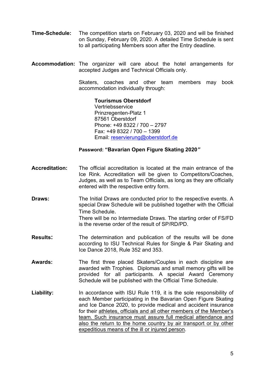- **Time-Schedule:** The competition starts on February 03, 2020 and will be finished on Sunday, February 09, 2020. A detailed Time Schedule is sent to all participating Members soon after the Entry deadline.
- **Accommodation:** The organizer will care about the hotel arrangements for accepted Judges and Technical Officials only.

Skaters, coaches and other team members may book accommodation individually through:

> **Tourismus Oberstdorf Vertriebsservice** Prinzregenten-Platz 1 87561 Oberstdorf Phone: +49 8322 / 700 – 2797 Fax: +49 8322 / 700 – 1399 Email: [reservierung@oberstdorf.de](mailto:reservierung@oberstdorf.de)

#### **Password: "Bavarian Open Figure Skating 2020***"*

- **Accreditation:** The official accreditation is located at the main entrance of the Ice Rink. Accreditation will be given to Competitors/Coaches, Judges, as well as to Team Officials, as long as they are officially entered with the respective entry form.
- **Draws:** The Initial Draws are conducted prior to the respective events. A special Draw Schedule will be published together with the Official Time Schedule. There will be no Intermediate Draws. The starting order of FS/FD is the reverse order of the result of SP/RD/PD.
- **Results:** The determination and publication of the results will be done according to ISU Technical Rules for Single & Pair Skating and Ice Dance 2018, Rule 352 and 353.
- **Awards:** The first three placed Skaters/Couples in each discipline are awarded with Trophies. Diplomas and small memory gifts will be provided for all participants. A special Award Ceremony Schedule will be published with the Official Time Schedule.
- **Liability:** In accordance with ISU Rule 119, it is the sole responsibility of each Member participating in the Bavarian Open Figure Skating and Ice Dance 2020, to provide medical and accident insurance for their athletes, officials and all other members of the Member's team. Such insurance must assure full medical attendance and also the return to the home country by air transport or by other expeditious means of the ill or injured person.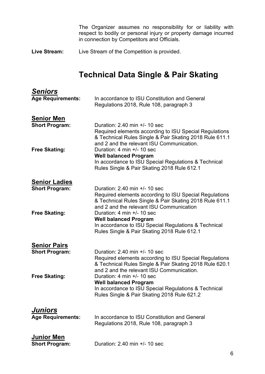The Organizer assumes no responsibility for or liability with respect to bodily or personal injury or property damage incurred in connection by Competitors and Officials.

**Live Stream:** Live Stream of the Competition is provided.

# **Technical Data Single & Pair Skating**

| <u>Seniors</u><br><b>Age Requirements:</b>    | In accordance to ISU Constitution and General<br>Regulations 2018, Rule 108, paragraph 3                                                                                                            |
|-----------------------------------------------|-----------------------------------------------------------------------------------------------------------------------------------------------------------------------------------------------------|
| <b>Senior Men</b><br><b>Short Program:</b>    | Duration: 2.40 min +/- 10 sec<br>Required elements according to ISU Special Regulations<br>& Technical Rules Single & Pair Skating 2018 Rule 611.1<br>and 2 and the relevant ISU Communication.     |
| <b>Free Skating:</b>                          | Duration: 4 min +/- 10 sec<br><b>Well balanced Program</b><br>In accordance to ISU Special Regulations & Technical<br>Rules Single & Pair Skating 2018 Rule 612.1                                   |
| <b>Senior Ladies</b><br><b>Short Program:</b> | Duration: $2.40$ min $+/- 10$ sec<br>Required elements according to ISU Special Regulations<br>& Technical Rules Single & Pair Skating 2018 Rule 611.1<br>and 2 and the relevant ISU Communication  |
| <b>Free Skating:</b>                          | Duration: 4 min $+/- 10$ sec<br><b>Well balanced Program</b><br>In accordance to ISU Special Regulations & Technical<br>Rules Single & Pair Skating 2018 Rule 612.1                                 |
| <b>Senior Pairs</b><br><b>Short Program:</b>  | Duration: $2.40$ min $+/- 10$ sec<br>Required elements according to ISU Special Regulations<br>& Technical Rules Single & Pair Skating 2018 Rule 620.1<br>and 2 and the relevant ISU Communication. |
| <b>Free Skating:</b>                          | Duration: 4 min $+/- 10$ sec<br><b>Well balanced Program</b><br>In accordance to ISU Special Regulations & Technical<br>Rules Single & Pair Skating 2018 Rule 621.2                                 |
| <u>Juniors</u><br><b>Age Requirements:</b>    | In accordance to ISU Constitution and General<br>Regulations 2018, Rule 108, paragraph 3                                                                                                            |
| <b>Junior Men</b><br><b>Short Program:</b>    | Duration: 2.40 min +/- 10 sec                                                                                                                                                                       |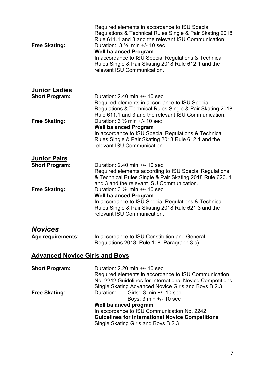| <b>Free Skating:</b>                          | Required elements in accordance to ISU Special<br>Regulations & Technical Rules Single & Pair Skating 2018<br>Rule 611.1 and 3 and the relevant ISU Communication.<br>Duration: $3\frac{1}{2}$ min +/- 10 sec<br><b>Well balanced Program</b><br>In accordance to ISU Special Regulations & Technical<br>Rules Single & Pair Skating 2018 Rule 612.1 and the<br>relevant ISU Communication. |
|-----------------------------------------------|---------------------------------------------------------------------------------------------------------------------------------------------------------------------------------------------------------------------------------------------------------------------------------------------------------------------------------------------------------------------------------------------|
| <b>Junior Ladies</b><br><b>Short Program:</b> | Duration: $2.40$ min $+/- 10$ sec<br>Required elements in accordance to ISU Special<br>Regulations & Technical Rules Single & Pair Skating 2018<br>Rule 611.1 and 3 and the relevant ISU Communication.                                                                                                                                                                                     |
| <b>Free Skating:</b>                          | Duration: $3\frac{1}{2}$ min $+/-$ 10 sec<br><b>Well balanced Program</b><br>In accordance to ISU Special Regulations & Technical<br>Rules Single & Pair Skating 2018 Rule 612.1 and the<br>relevant ISU Communication.                                                                                                                                                                     |
| <b>Junior Pairs</b>                           |                                                                                                                                                                                                                                                                                                                                                                                             |
| <b>Short Program:</b>                         | Duration: $2.40$ min $+/- 10$ sec<br>Required elements according to ISU Special Regulations<br>& Technical Rules Single & Pair Skating 2018 Rule 620. 1<br>and 3 and the relevant ISU Communication.                                                                                                                                                                                        |
| <b>Free Skating:</b>                          | Duration: $3\frac{1}{2}$ min $+/-$ 10 sec<br><b>Well balanced Program</b><br>In accordance to ISU Special Regulations & Technical<br>Rules Single & Pair Skating 2018 Rule 621.3 and the<br>relevant ISU Communication.                                                                                                                                                                     |
| <b>Novices</b><br>Age requirements:           | In accordance to ISU Constitution and General<br>Regulations 2018, Rule 108. Paragraph 3.c)                                                                                                                                                                                                                                                                                                 |
| <b>Advanced Novice Girls and Boys</b>         |                                                                                                                                                                                                                                                                                                                                                                                             |
|                                               |                                                                                                                                                                                                                                                                                                                                                                                             |
| <b>Short Program:</b><br><b>Free Skating:</b> | Duration: 2.20 min +/- 10 sec<br>Required elements in accordance to ISU Communication<br>No. 2242 Guidelines for International Novice Competitions<br>Single Skating Advanced Novice Girls and Boys B 2.3<br>Girls: $3 \text{ min} +/- 10 \text{ sec}$<br>Duration:                                                                                                                         |
|                                               | Boys: 3 min +/- 10 sec<br><b>Well balanced program</b><br>In accordance to ISU Communication No. 2242<br><b>Guidelines for International Novice Competitions</b><br>Single Skating Girls and Boys B 2.3                                                                                                                                                                                     |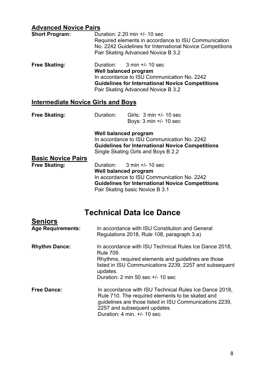### **Advanced Novice Pairs**

| <b>Short Program:</b> | Duration: 2.20 min +/- 10 sec<br>Required elements in accordance to ISU Communication<br>No. 2242 Guidelines for International Novice Competitions<br>Pair Skating Advanced Novice B 3.2                              |
|-----------------------|-----------------------------------------------------------------------------------------------------------------------------------------------------------------------------------------------------------------------|
| <b>Free Skating:</b>  | Duration: $3 \text{ min} +/- 10 \text{ sec}$<br>Well balanced program<br>In accordance to ISU Communication No. 2242<br><b>Guidelines for International Novice Competitions</b><br>Pair Skating Advanced Novice B 3.2 |

### **Intermediate Novice Girls and Boys**

| <b>Free Skating:</b> | Duration: | Girls: $3 \text{ min} +/- 10 \text{ sec}$ |
|----------------------|-----------|-------------------------------------------|
|                      |           | Boys: 3 min +/- 10 sec                    |

**Well balanced program** In accordance to ISU Communication No. 2242 **Guidelines for International Novice Competitions** Single Skating Girls and Boys B 2.2

| <b>Basic Novice Pairs</b> |                                                         |
|---------------------------|---------------------------------------------------------|
| <b>Free Skating:</b>      | Duration: $3 \text{ min} +/- 10 \text{ sec}$            |
|                           | Well balanced program                                   |
|                           | In accordance to ISU Communication No. 2242             |
|                           | <b>Guidelines for International Novice Competitions</b> |
|                           | Pair Skating basic Novice B 3.1                         |
|                           |                                                         |

# **Technical Data Ice Dance**

| <b>Seniors</b>           |                                                                                                                                                                                                                                                                          |
|--------------------------|--------------------------------------------------------------------------------------------------------------------------------------------------------------------------------------------------------------------------------------------------------------------------|
| <b>Age Requirements:</b> | In accordance with ISU Constitution and General<br>Regulations 2018, Rule 108, paragraph 3.a)                                                                                                                                                                            |
| <b>Rhythm Dance:</b>     | In accordance with ISU Technical Rules Ice Dance 2018,<br><b>Rule 709.</b><br>Rhythms, required elements and guidelines are those<br>listed in ISU Communications 2239, 2257 and subsequent<br>updates.<br>Duration: $2 \text{ min } 50 \text{ sec } +/- 10 \text{ sec}$ |
| <b>Free Dance:</b>       | In accordance with ISU Technical Rules Ice Dance 2018,<br>Rule 710. The required elements to be skated and<br>guidelines are those listed in ISU Communications 2239,<br>2257 and subsequent updates.<br>Duration: 4 min. $+/-$ 10 sec                                   |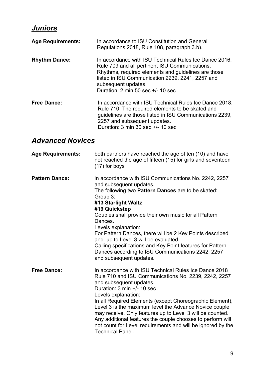## *Juniors*

| <b>Age Requirements:</b> | In accordance to ISU Constitution and General<br>Regulations 2018, Rule 108, paragraph 3.b).                                                                                                                                                                                                                |
|--------------------------|-------------------------------------------------------------------------------------------------------------------------------------------------------------------------------------------------------------------------------------------------------------------------------------------------------------|
| <b>Rhythm Dance:</b>     | In accordance with ISU Technical Rules Ice Dance 2016,<br>Rule 709 and all pertinent ISU Communications.<br>Rhythms, required elements and guidelines are those<br>listed in ISU Communication 2239, 2241, 2257 and<br>subsequent updates.<br>Duration: $2 \text{ min } 50 \text{ sec } +/- 10 \text{ sec}$ |
| <b>Free Dance:</b>       | In accordance with ISU Technical Rules Ice Dance 2018,<br>Rule 710. The required elements to be skated and<br>guidelines are those listed in ISU Communications 2239,<br>2257 and subsequent updates.<br>Duration: $3 \text{ min } 30 \text{ sec } +/- 10 \text{ sec}$                                      |

## *Advanced Novices*

| <b>Age Requirements:</b> | both partners have reached the age of ten (10) and have<br>not reached the age of fifteen (15) for girls and seventeen<br>(17) for boys                                                                                                                                                                                                                                                                                                                                                                                                                    |
|--------------------------|------------------------------------------------------------------------------------------------------------------------------------------------------------------------------------------------------------------------------------------------------------------------------------------------------------------------------------------------------------------------------------------------------------------------------------------------------------------------------------------------------------------------------------------------------------|
| <b>Pattern Dance:</b>    | In accordance with ISU Communications No. 2242, 2257<br>and subsequent updates.<br>The following two Pattern Dances are to be skated:<br>Group 3:<br>#13 Starlight Waltz<br>#19 Quickstep<br>Couples shall provide their own music for all Pattern<br>Dances.<br>Levels explanation:<br>For Pattern Dances, there will be 2 Key Points described<br>and up to Level 3 will be evaluated.<br>Calling specifications and Key Point features for Pattern<br>Dances according to ISU Communications 2242, 2257<br>and subsequent updates.                      |
| <b>Free Dance:</b>       | In accordance with ISU Technical Rules Ice Dance 2018<br>Rule 710 and ISU Communications No. 2239, 2242, 2257<br>and subsequent updates.<br>Duration: $3 \text{ min} +/- 10 \text{ sec}$<br>Levels explanation:<br>In all Required Elements (except Choreographic Element),<br>Level 3 is the maximum level the Advance Novice couple<br>may receive. Only features up to Level 3 will be counted.<br>Any additional features the couple chooses to perform will<br>not count for Level requirements and will be ignored by the<br><b>Technical Panel.</b> |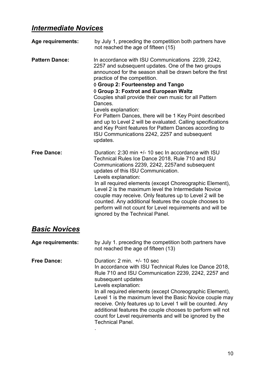## *Intermediate Novices*

| Age requirements:     | by July 1, preceding the competition both partners have<br>not reached the age of fifteen (15)                                                                                                                                                                                                                                                                                                                                                                                                                                                                                                                               |
|-----------------------|------------------------------------------------------------------------------------------------------------------------------------------------------------------------------------------------------------------------------------------------------------------------------------------------------------------------------------------------------------------------------------------------------------------------------------------------------------------------------------------------------------------------------------------------------------------------------------------------------------------------------|
| <b>Pattern Dance:</b> | In accordance with ISU Communications 2239, 2242,<br>2257 and subsequent updates. One of the two groups<br>announced for the season shall be drawn before the first<br>practice of the competition.<br>◊ Group 2: Fourteenstep and Tango<br>♦ Group 3: Foxtrot and European Waltz<br>Couples shall provide their own music for all Pattern<br>Dances.<br>Levels explanation:<br>For Pattern Dances, there will be 1 Key Point described<br>and up to Level 2 will be evaluated. Calling specifications<br>and Key Point features for Pattern Dances according to<br>ISU Communications 2242, 2257 and subsequent<br>updates. |
| <b>Free Dance:</b>    | Duration: 2:30 min +/- 10 sec In accordance with ISU<br>Technical Rules Ice Dance 2018, Rule 710 and ISU<br>Communications 2239, 2242, 2257 and subsequent<br>updates of this ISU Communication.<br>Levels explanation:<br>In all required elements (except Choreographic Element),<br>Level 2 is the maximum level the Intermediate Novice<br>couple may receive. Only features up to Level 2 will be<br>counted. Any additional features the couple chooses to<br>perform will not count for Level requirements and will be<br>ignored by the Technical Panel.                                                             |
| <b>Basic Novices</b>  |                                                                                                                                                                                                                                                                                                                                                                                                                                                                                                                                                                                                                              |
| Age requirements:     | by July 1. preceding the competition both partners have<br>not reached the age of fifteen (13)                                                                                                                                                                                                                                                                                                                                                                                                                                                                                                                               |
| <b>Free Dance:</b>    | Duration: $2 \text{ min. } +/- 10 \text{ sec}$<br>In accordance with ISU Technical Rules Ice Dance 2018,<br>Rule 710 and ISU Communication 2239, 2242, 2257 and<br>subsequent updates<br>Levels explanation:<br>In all required elements (except Choreographic Element),<br>Level 1 is the maximum level the Basic Novice couple may<br>receive. Only features up to Level 1 will be counted. Any<br>additional features the couple chooses to perform will not<br>count for Level requirements and will be ignored by the<br><b>Technical Panel.</b>                                                                        |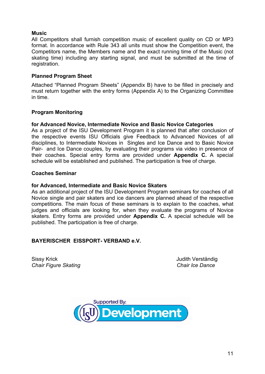#### **Music**

All Competitors shall furnish competition music of excellent quality on CD or MP3 format. In accordance with Rule 343 all units must show the Competition event, the Competitors name, the Members name and the exact running time of the Music (not skating time) including any starting signal, and must be submitted at the time of registration.

#### **Planned Program Sheet**

Attached "Planned Program Sheets" (Appendix B) have to be filled in precisely and must return together with the entry forms (Appendix A) to the Organizing Committee in time.

#### **Program Monitoring**

#### **for Advanced Novice, Intermediate Novice and Basic Novice Categories**

As a project of the ISU Development Program it is planned that after conclusion of the respective events ISU Officials give Feedback to Advanced Novices of all disciplines, to Intermediate Novices in Singles and Ice Dance and to Basic Novice Pair- and Ice Dance couples, by evaluating their programs via video in presence of their coaches. Special entry forms are provided under **Appendix C.** A special schedule will be established and published. The participation is free of charge.

#### **Coaches Seminar**

#### **for Advanced, Intermediate and Basic Novice Skaters**

As an additional project of the ISU Development Program seminars for coaches of all Novice single and pair skaters and ice dancers are planned ahead of the respective competitions. The main focus of these seminars is to explain to the coaches, what judges and officials are looking for, when they evaluate the programs of Novice skaters. Entry forms are provided under **Appendix C.** A special schedule will be published. The participation is free of charge.

#### **BAYERISCHER EISSPORT- VERBAND e.V.**

Sissy Krick Judith Verständig *Chair Figure Skating*